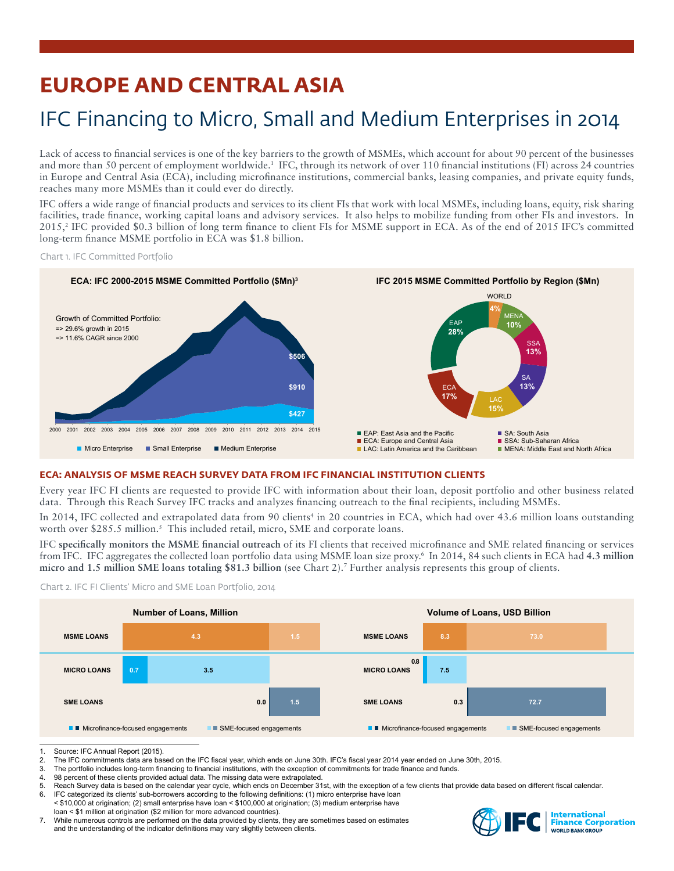# **EUROPE AND CENTRAL ASIA**

## IFC Financing to Micro, Small and Medium Enterprises in 2014

Lack of access to financial services is one of the key barriers to the growth of MSMEs, which account for about 90 percent of the businesses and more than 50 percent of employment worldwide.<sup>1</sup> IFC, through its network of over 110 financial institutions (FI) across 24 countries in Europe and Central Asia (ECA), including microfinance institutions, commercial banks, leasing companies, and private equity funds, reaches many more MSMEs than it could ever do directly.

IFC offers a wide range of financial products and services to its client FIs that work with local MSMEs, including loans, equity, risk sharing facilities, trade finance, working capital loans and advisory services. It also helps to mobilize funding from other FIs and investors. In 2015,<sup>2</sup> IFC provided \$0.3 billion of long term finance to client FIs for MSME support in ECA. As of the end of 2015 IFC's committed long-term finance MSME portfolio in ECA was \$1.8 billion.

Chart 1. IFC Committed Portfolio



## **ECA: ANALYSIS OF MSME REACH SURVEY DATA FROM IFC FINANCIAL INSTITUTION CLIENTS**

Every year IFC FI clients are requested to provide IFC with information about their loan, deposit portfolio and other business related data. Through this Reach Survey IFC tracks and analyzes financing outreach to the final recipients, including MSMEs.

In 2014, IFC collected and extrapolated data from 90 clients<sup>4</sup> in 20 countries in ECA, which had over 43.6 million loans outstanding worth over \$285.5 million.<sup>5</sup> This included retail, micro, SME and corporate loans.

IFC **specifically monitors the MSME financial outreach** of its FI clients that received microfinance and SME related financing or services from IFC. IFC aggregates the collected loan portfolio data using MSME loan size proxy.6 In 2014, 84 such clients in ECA had **4.3 million micro and 1.5 million SME loans totaling \$81.3 billion** (see Chart 2).7 Further analysis represents this group of clients.



Chart 2. IFC FI Clients' Micro and SME Loan Portfolio, 2014

- 3. The portfolio includes long-term financing to financial institutions, with the exception of commitments for trade finance and funds.<br>4. 98 percent of these clients provided actual data. The missing data were extrapolate
- 98 percent of these clients provided actual data. The missing data were extrapolated.
- 5. Reach Survey data is based on the calendar year cycle, which ends on December 31st, with the exception of a few clients that provide data based on different fiscal calendar.<br>6. IEC categorized its clients' sub-borrowers
- IFC categorized its clients' sub-borrowers according to the following definitions: (1) micro enterprise have loan < \$10,000 at origination; (2) small enterprise have loan < \$100,000 at origination; (3) medium enterprise have loan < \$1 million at origination (\$2 million for more advanced countries).
- 7. While numerous controls are performed on the data provided by clients, they are sometimes based on estimates and the understanding of the indicator definitions may vary slightly between clients.



<sup>1.</sup> Source: IFC Annual Report (2015).<br>2. The IFC commitments data are base

The IFC commitments data are based on the IFC fiscal year, which ends on June 30th. IFC's fiscal year 2014 year ended on June 30th, 2015.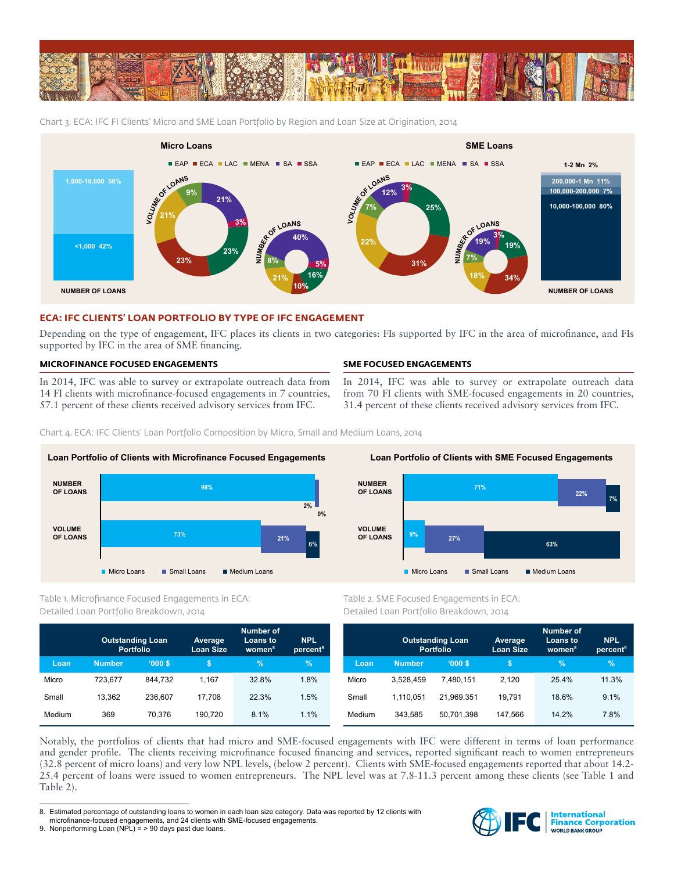

Chart 3. ECA: IFC FI Clients' Micro and SME Loan Portfolio by Region and Loan Size at Origination, 2014



## **ECA: IFC CLIENTS' LOAN PORTFOLIO BY TYPE OF IFC ENGAGEMENT**

Depending on the type of engagement, IFC places its clients in two categories: FIs supported by IFC in the area of microfinance, and FIs supported by IFC in the area of SME financing.

## **MICROFINANCE FOCUSED ENGAGEMENTS**

In 2014, IFC was able to survey or extrapolate outreach data from 14 FI clients with microfinance-focused engagements in 7 countries, 57.1 percent of these clients received advisory services from IFC.

## **SME FOCUSED ENGAGEMENTS**

In 2014, IFC was able to survey or extrapolate outreach data from 70 FI clients with SME-focused engagements in 20 countries, 31.4 percent of these clients received advisory services from IFC.

Chart 4. ECA: IFC Clients' Loan Portfolio Composition by Micro, Small and Medium Loans, 2014



## Table 1. Microfinance Focused Engagements in ECA: Detailed Loan Portfolio Breakdown, 2014

|        | <b>Outstanding Loan</b><br><b>Portfolio</b> |         | Average<br><b>Loan Size</b> | <b>Number of</b><br><b>Loans to</b><br>women <sup>8</sup> | <b>NPL</b><br>percent <sup>9</sup> |
|--------|---------------------------------------------|---------|-----------------------------|-----------------------------------------------------------|------------------------------------|
| Loan   | <b>Number</b>                               | '000S   | \$                          | $\%$                                                      | $\%$                               |
| Micro  | 723.677                                     | 844.732 | 1.167                       | 32.8%                                                     | 1.8%                               |
| Small  | 13.362                                      | 236.607 | 17.708                      | 22.3%                                                     | 1.5%                               |
| Medium | 369                                         | 70.376  | 190.720                     | 8.1%                                                      | 1.1%                               |



Table 2. SME Focused Engagements in ECA: Detailed Loan Portfolio Breakdown, 2014

|        | <b>Outstanding Loan</b><br><b>Portfolio</b> |            | Average<br><b>Loan Size</b> | <b>Number of</b><br>Loans to<br>women <sup>8</sup> | <b>NPL</b><br>percent <sup>9</sup> |
|--------|---------------------------------------------|------------|-----------------------------|----------------------------------------------------|------------------------------------|
| Loan   | <b>Number</b>                               | '000S      | S                           | %                                                  | $\%$                               |
| Micro  | 3,528,459                                   | 7.480.151  | 2.120                       | 25.4%                                              | 11.3%                              |
| Small  | 1.110.051                                   | 21.969.351 | 19.791                      | 18.6%                                              | 9.1%                               |
| Medium | 343,585                                     | 50.701.398 | 147.566                     | 14.2%                                              | 7.8%                               |

Notably, the portfolios of clients that had micro and SME-focused engagements with IFC were different in terms of loan performance and gender profile. The clients receiving microfinance focused financing and services, reported significant reach to women entrepreneurs (32.8 percent of micro loans) and very low NPL levels, (below 2 percent). Clients with SME-focused engagements reported that about 14.2- 25.4 percent of loans were issued to women entrepreneurs. The NPL level was at 7.8-11.3 percent among these clients (see Table 1 and Table 2).



<sup>8.</sup> Estimated percentage of outstanding loans to women in each loan size category. Data was reported by 12 clients with microfinance-focused engagements, and 24 clients with SME-focused engagements.

<sup>9.</sup> Nonperforming Loan (NPL) = > 90 days past due loans.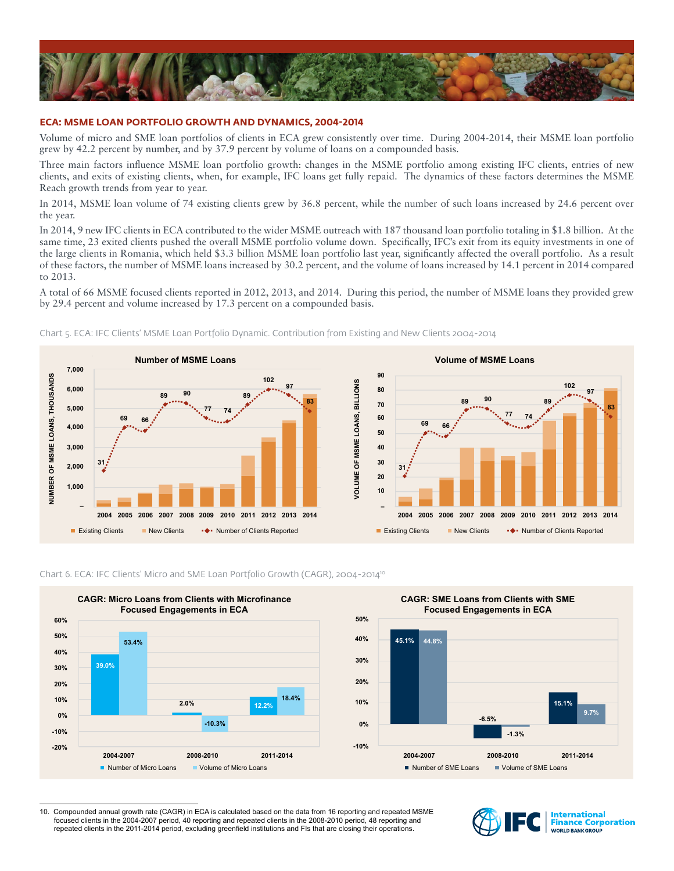

### **ECA: MSME LOAN PORTFOLIO GROWTH AND DYNAMICS, 2004-2014**

Volume of micro and SME loan portfolios of clients in ECA grew consistently over time. During 2004-2014, their MSME loan portfolio grew by 42.2 percent by number, and by 37.9 percent by volume of loans on a compounded basis.

Three main factors influence MSME loan portfolio growth: changes in the MSME portfolio among existing IFC clients, entries of new clients, and exits of existing clients, when, for example, IFC loans get fully repaid. The dynamics of these factors determines the MSME Reach growth trends from year to year.

In 2014, MSME loan volume of 74 existing clients grew by 36.8 percent, while the number of such loans increased by 24.6 percent over the year.

In 2014, 9 new IFC clients in ECA contributed to the wider MSME outreach with 187 thousand loan portfolio totaling in \$1.8 billion. At the same time, 23 exited clients pushed the overall MSME portfolio volume down. Specifically, IFC's exit from its equity investments in one of the large clients in Romania, which held \$3.3 billion MSME loan portfolio last year, significantly affected the overall portfolio. As a result of these factors, the number of MSME loans increased by 30.2 percent, and the volume of loans increased by 14.1 percent in 2014 compared to 2013.

A total of 66 MSME focused clients reported in 2012, 2013, and 2014. During this period, the number of MSME loans they provided grew by 29.4 percent and volume increased by 17.3 percent on a compounded basis.



Chart 5. ECA: IFC Clients' MSME Loan Portfolio Dynamic. Contribution from Existing and New Clients 2004-2014

Chart 6. ECA: IFC Clients' Micro and SME Loan Portfolio Growth (CAGR), 2004-201410



<sup>10.</sup> Compounded annual growth rate (CAGR) in ECA is calculated based on the data from 16 reporting and repeated MSME focused clients in the 2004-2007 period, 40 reporting and repeated clients in the 2008-2010 period, 48 reporting and